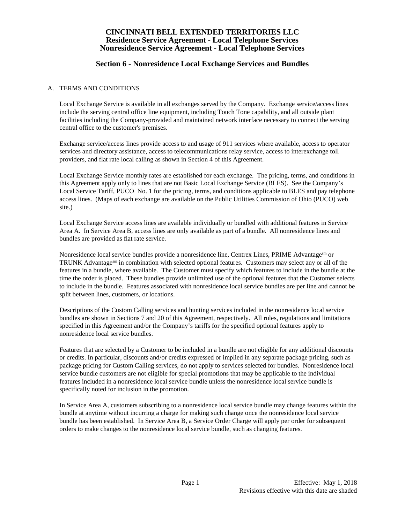# **Section 6 - Nonresidence Local Exchange Services and Bundles**

### A. TERMS AND CONDITIONS

Local Exchange Service is available in all exchanges served by the Company. Exchange service/access lines include the serving central office line equipment, including Touch Tone capability, and all outside plant facilities including the Company-provided and maintained network interface necessary to connect the serving central office to the customer's premises.

Exchange service/access lines provide access to and usage of 911 services where available, access to operator services and directory assistance, access to telecommunications relay service, access to interexchange toll providers, and flat rate local calling as shown in Section 4 of this Agreement.

Local Exchange Service monthly rates are established for each exchange. The pricing, terms, and conditions in this Agreement apply only to lines that are not Basic Local Exchange Service (BLES). See the Company's Local Service Tariff, PUCO No. 1 for the pricing, terms, and conditions applicable to BLES and pay telephone access lines. (Maps of each exchange are available on the Public Utilities Commission of Ohio (PUCO) web site.)

Local Exchange Service access lines are available individually or bundled with additional features in Service Area A. In Service Area B, access lines are only available as part of a bundle. All nonresidence lines and bundles are provided as flat rate service.

Nonresidence local service bundles provide a nonresidence line, Centrex Lines, PRIME Advantagesm or TRUNK Advantagesm in combination with selected optional features. Customers may select any or all of the features in a bundle, where available. The Customer must specify which features to include in the bundle at the time the order is placed. These bundles provide unlimited use of the optional features that the Customer selects to include in the bundle. Features associated with nonresidence local service bundles are per line and cannot be split between lines, customers, or locations.

Descriptions of the Custom Calling services and hunting services included in the nonresidence local service bundles are shown in Sections 7 and 20 of this Agreement, respectively. All rules, regulations and limitations specified in this Agreement and/or the Company's tariffs for the specified optional features apply to nonresidence local service bundles.

Features that are selected by a Customer to be included in a bundle are not eligible for any additional discounts or credits. In particular, discounts and/or credits expressed or implied in any separate package pricing, such as package pricing for Custom Calling services, do not apply to services selected for bundles. Nonresidence local service bundle customers are not eligible for special promotions that may be applicable to the individual features included in a nonresidence local service bundle unless the nonresidence local service bundle is specifically noted for inclusion in the promotion.

In Service Area A, customers subscribing to a nonresidence local service bundle may change features within the bundle at anytime without incurring a charge for making such change once the nonresidence local service bundle has been established. In Service Area B, a Service Order Charge will apply per order for subsequent orders to make changes to the nonresidence local service bundle, such as changing features.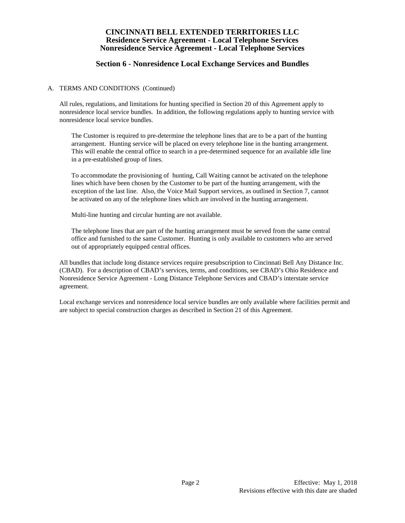# **Section 6 - Nonresidence Local Exchange Services and Bundles**

### A. TERMS AND CONDITIONS (Continued)

All rules, regulations, and limitations for hunting specified in Section 20 of this Agreement apply to nonresidence local service bundles. In addition, the following regulations apply to hunting service with nonresidence local service bundles.

The Customer is required to pre-determine the telephone lines that are to be a part of the hunting arrangement. Hunting service will be placed on every telephone line in the hunting arrangement. This will enable the central office to search in a pre-determined sequence for an available idle line in a pre-established group of lines.

To accommodate the provisioning of hunting, Call Waiting cannot be activated on the telephone lines which have been chosen by the Customer to be part of the hunting arrangement, with the exception of the last line. Also, the Voice Mail Support services, as outlined in Section 7, cannot be activated on any of the telephone lines which are involved in the hunting arrangement.

Multi-line hunting and circular hunting are not available.

The telephone lines that are part of the hunting arrangement must be served from the same central office and furnished to the same Customer. Hunting is only available to customers who are served out of appropriately equipped central offices.

All bundles that include long distance services require presubscription to Cincinnati Bell Any Distance Inc. (CBAD). For a description of CBAD's services, terms, and conditions, see CBAD's Ohio Residence and Nonresidence Service Agreement - Long Distance Telephone Services and CBAD's interstate service agreement.

Local exchange services and nonresidence local service bundles are only available where facilities permit and are subject to special construction charges as described in Section 21 of this Agreement.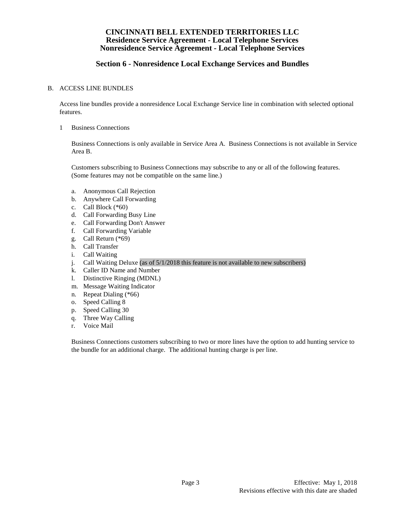# **Section 6 - Nonresidence Local Exchange Services and Bundles**

#### B. ACCESS LINE BUNDLES

Access line bundles provide a nonresidence Local Exchange Service line in combination with selected optional features.

1 Business Connections

Business Connections is only available in Service Area A. Business Connections is not available in Service Area B.

Customers subscribing to Business Connections may subscribe to any or all of the following features. (Some features may not be compatible on the same line.)

- a. Anonymous Call Rejection
- b. Anywhere Call Forwarding
- c. Call Block (\*60)
- d. Call Forwarding Busy Line
- e. Call Forwarding Don't Answer
- f. Call Forwarding Variable
- g. Call Return (\*69)
- h. Call Transfer
- i. Call Waiting
- j. Call Waiting Deluxe (as of 5/1/2018 this feature is not available to new subscribers)
- k. Caller ID Name and Number
- l. Distinctive Ringing (MDNL)
- m. Message Waiting Indicator
- n. Repeat Dialing (\*66)
- o. Speed Calling 8
- p. Speed Calling 30
- q. Three Way Calling
- r. Voice Mail

Business Connections customers subscribing to two or more lines have the option to add hunting service to the bundle for an additional charge. The additional hunting charge is per line.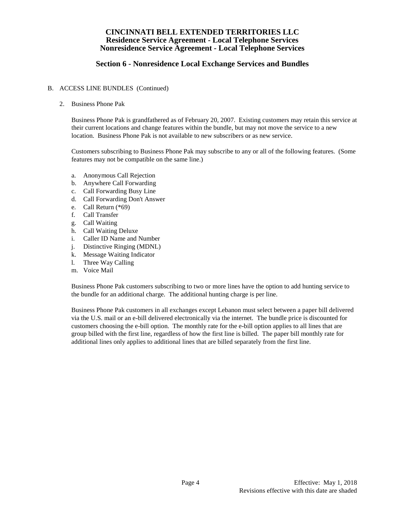# **Section 6 - Nonresidence Local Exchange Services and Bundles**

### B. ACCESS LINE BUNDLES (Continued)

2. Business Phone Pak

Business Phone Pak is grandfathered as of February 20, 2007. Existing customers may retain this service at their current locations and change features within the bundle, but may not move the service to a new location. Business Phone Pak is not available to new subscribers or as new service.

Customers subscribing to Business Phone Pak may subscribe to any or all of the following features. (Some features may not be compatible on the same line.)

- a. Anonymous Call Rejection
- b. Anywhere Call Forwarding
- c. Call Forwarding Busy Line
- d. Call Forwarding Don't Answer
- e. Call Return (\*69)
- f. Call Transfer
- g. Call Waiting
- h. Call Waiting Deluxe
- i. Caller ID Name and Number
- j. Distinctive Ringing (MDNL)
- k. Message Waiting Indicator
- l. Three Way Calling
- m. Voice Mail

Business Phone Pak customers subscribing to two or more lines have the option to add hunting service to the bundle for an additional charge. The additional hunting charge is per line.

Business Phone Pak customers in all exchanges except Lebanon must select between a paper bill delivered via the U.S. mail or an e-bill delivered electronically via the internet. The bundle price is discounted for customers choosing the e-bill option. The monthly rate for the e-bill option applies to all lines that are group billed with the first line, regardless of how the first line is billed. The paper bill monthly rate for additional lines only applies to additional lines that are billed separately from the first line.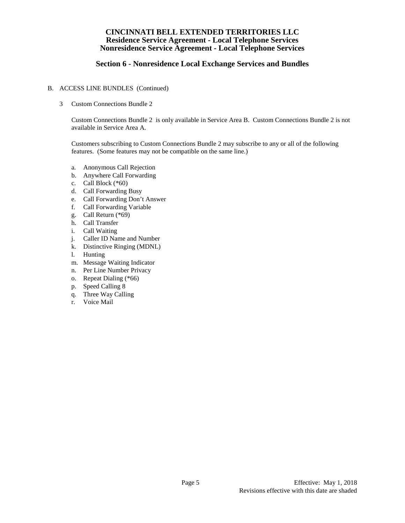# **Section 6 - Nonresidence Local Exchange Services and Bundles**

### B. ACCESS LINE BUNDLES (Continued)

3 Custom Connections Bundle 2

Custom Connections Bundle 2 is only available in Service Area B. Custom Connections Bundle 2 is not available in Service Area A.

Customers subscribing to Custom Connections Bundle 2 may subscribe to any or all of the following features. (Some features may not be compatible on the same line.)

- a. Anonymous Call Rejection
- b. Anywhere Call Forwarding
- c. Call Block (\*60)
- d. Call Forwarding Busy
- e. Call Forwarding Don't Answer
- f. Call Forwarding Variable
- g. Call Return (\*69)
- h. Call Transfer
- i. Call Waiting
- j. Caller ID Name and Number
- k. Distinctive Ringing (MDNL)
- l. Hunting
- m. Message Waiting Indicator
- n. Per Line Number Privacy
- o. Repeat Dialing (\*66)
- p. Speed Calling 8
- q. Three Way Calling
- r. Voice Mail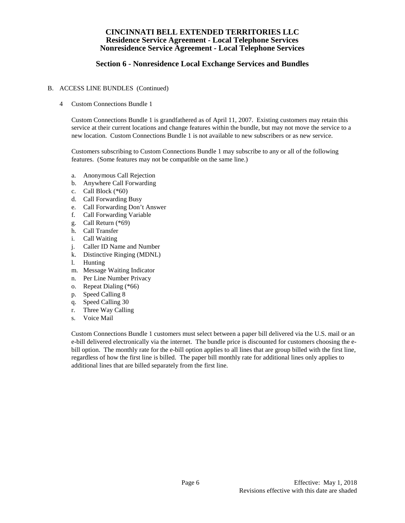# **Section 6 - Nonresidence Local Exchange Services and Bundles**

### B. ACCESS LINE BUNDLES (Continued)

4 Custom Connections Bundle 1

Custom Connections Bundle 1 is grandfathered as of April 11, 2007. Existing customers may retain this service at their current locations and change features within the bundle, but may not move the service to a new location. Custom Connections Bundle 1 is not available to new subscribers or as new service.

Customers subscribing to Custom Connections Bundle 1 may subscribe to any or all of the following features. (Some features may not be compatible on the same line.)

- a. Anonymous Call Rejection
- b. Anywhere Call Forwarding
- c. Call Block (\*60)
- d. Call Forwarding Busy
- e. Call Forwarding Don't Answer
- f. Call Forwarding Variable
- g. Call Return (\*69)
- h. Call Transfer
- i. Call Waiting
- j. Caller ID Name and Number
- k. Distinctive Ringing (MDNL)
- l. Hunting
- m. Message Waiting Indicator
- n. Per Line Number Privacy
- o. Repeat Dialing (\*66)
- p. Speed Calling 8
- 
- q. Speed Calling 30<br>r. Three Wav Callin Three Way Calling
- s. Voice Mail

Custom Connections Bundle 1 customers must select between a paper bill delivered via the U.S. mail or an e-bill delivered electronically via the internet. The bundle price is discounted for customers choosing the ebill option. The monthly rate for the e-bill option applies to all lines that are group billed with the first line, regardless of how the first line is billed. The paper bill monthly rate for additional lines only applies to additional lines that are billed separately from the first line.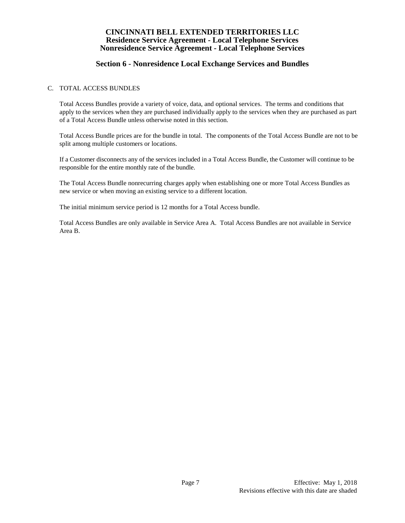# **Section 6 - Nonresidence Local Exchange Services and Bundles**

## C. TOTAL ACCESS BUNDLES

Total Access Bundles provide a variety of voice, data, and optional services. The terms and conditions that apply to the services when they are purchased individually apply to the services when they are purchased as part of a Total Access Bundle unless otherwise noted in this section.

Total Access Bundle prices are for the bundle in total. The components of the Total Access Bundle are not to be split among multiple customers or locations.

If a Customer disconnects any of the services included in a Total Access Bundle, the Customer will continue to be responsible for the entire monthly rate of the bundle.

The Total Access Bundle nonrecurring charges apply when establishing one or more Total Access Bundles as new service or when moving an existing service to a different location.

The initial minimum service period is 12 months for a Total Access bundle.

Total Access Bundles are only available in Service Area A. Total Access Bundles are not available in Service Area B.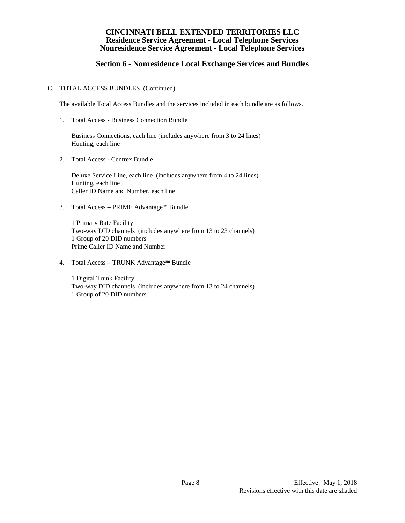# **Section 6 - Nonresidence Local Exchange Services and Bundles**

### C. TOTAL ACCESS BUNDLES (Continued)

The available Total Access Bundles and the services included in each bundle are as follows.

1. Total Access - Business Connection Bundle

Business Connections, each line (includes anywhere from 3 to 24 lines) Hunting, each line

2. Total Access - Centrex Bundle

Deluxe Service Line, each line (includes anywhere from 4 to 24 lines) Hunting, each line Caller ID Name and Number, each line

3. Total Access – PRIME Advantagesm Bundle

1 Primary Rate Facility Two-way DID channels (includes anywhere from 13 to 23 channels) 1 Group of 20 DID numbers Prime Caller ID Name and Number

4. Total Access – TRUNK Advantagesm Bundle

1 Digital Trunk Facility Two-way DID channels (includes anywhere from 13 to 24 channels) 1 Group of 20 DID numbers